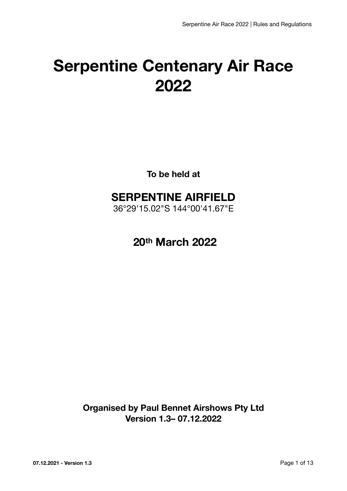# **Serpentine Centenary Air Race 2022**

**To be held at** 

# **SERPENTINE AIRFIELD**

36°29'15.02"S 144°00'41.67"E

 **20th March 2022** 

**Organised by Paul Bennet Airshows Pty Ltd Version 1.3– 07.12.2022**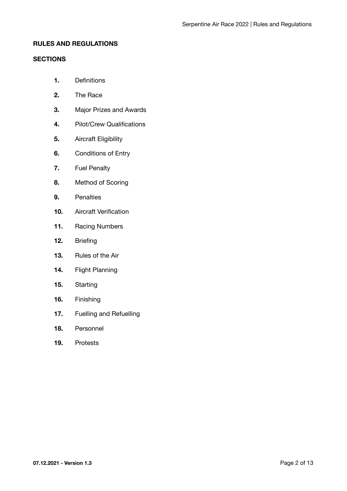# **RULES AND REGULATIONS**

# **SECTIONS**

- **1.** Definitions
- **2.** The Race
- **3.** Major Prizes and Awards
- **4.** Pilot/Crew Qualifications
- **5.** Aircraft Eligibility
- **6.** Conditions of Entry
- **7.** Fuel Penalty
- **8.** Method of Scoring
- **9.** Penalties
- **10.** Aircraft Verification
- **11.** Racing Numbers
- **12.** Briefing
- **13.** Rules of the Air
- **14.** Flight Planning
- **15.** Starting
- **16.** Finishing
- **17.** Fuelling and Refuelling
- **18.** Personnel
- **19.** Protests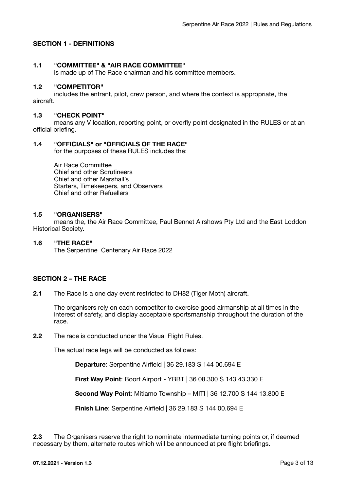# **SECTION 1 - DEFINITIONS**

#### **1.1 "COMMITTEE" & "AIR RACE COMMITTEE"**

is made up of The Race chairman and his committee members.

#### **1.2 "COMPETITOR"**

includes the entrant, pilot, crew person, and where the context is appropriate, the aircraft.

#### **1.3 "CHECK POINT"**

means any V location, reporting point, or overfly point designated in the RULES or at an official briefing.

#### **1.4 "OFFICIALS" or "OFFICIALS OF THE RACE"**

for the purposes of these RULES includes the:

Air Race Committee Chief and other Scrutineers Chief and other Marshall's Starters, Timekeepers, and Observers Chief and other Refuellers

#### **1.5 "ORGANISERS"**

means the, the Air Race Committee, Paul Bennet Airshows Pty Ltd and the East Loddon Historical Society.

#### **1.6 "THE RACE"**

The Serpentine Centenary Air Race 2022

# **SECTION 2 – THE RACE**

**2.1** The Race is a one day event restricted to DH82 (Tiger Moth) aircraft.

The organisers rely on each competitor to exercise good airmanship at all times in the interest of safety, and display acceptable sportsmanship throughout the duration of the race.

**2.2** The race is conducted under the Visual Flight Rules.

The actual race legs will be conducted as follows:

**Departure**: Serpentine Airfield | 36 29.183 S 144 00.694 E

 **First Way Point**: Boort Airport - YBBT | 36 08.300 S 143 43.330 E

 **Second Way Point**: Mitiamo Township – MITI | 36 12.700 S 144 13.800 E

**Finish Line**: Serpentine Airfield | 36 29.183 S 144 00.694 E

**2.3** The Organisers reserve the right to nominate intermediate turning points or, if deemed necessary by them, alternate routes which will be announced at pre flight briefings.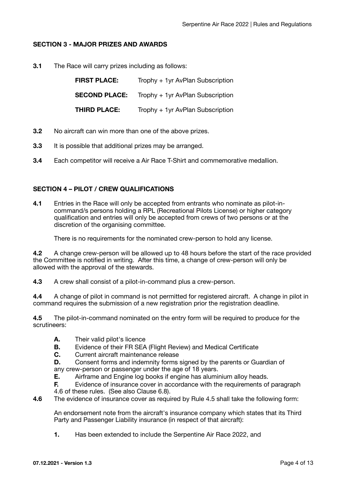# **SECTION 3 - MAJOR PRIZES AND AWARDS**

**3.1** The Race will carry prizes including as follows:

| <b>FIRST PLACE:</b>  | Trophy + 1yr AvPlan Subscription |
|----------------------|----------------------------------|
| <b>SECOND PLACE:</b> | Trophy + 1yr AvPlan Subscription |
| THIRD PLACE:         | Trophy + 1yr AvPlan Subscription |

- **3.2** No aircraft can win more than one of the above prizes.
- **3.3** It is possible that additional prizes may be arranged.
- **3.4** Each competitor will receive a Air Race T-Shirt and commemorative medallion.

# **SECTION 4 – PILOT / CREW QUALIFICATIONS**

**4.1** Entries in the Race will only be accepted from entrants who nominate as pilot-incommand/s persons holding a RPL (Recreational Pilots License) or higher category qualification and entries will only be accepted from crews of two persons or at the discretion of the organising committee.

There is no requirements for the nominated crew-person to hold any license.

**4.2** A change crew-person will be allowed up to 48 hours before the start of the race provided the Committee is notified in writing. After this time, a change of crew-person will only be allowed with the approval of the stewards.

**4.3** A crew shall consist of a pilot-in-command plus a crew-person.

**4.4** A change of pilot in command is not permitted for registered aircraft. A change in pilot in command requires the submission of a new registration prior the registration deadline.

**4.5** The pilot-in-command nominated on the entry form will be required to produce for the scrutineers:

- **A.** Their valid pilot's licence
- **B.** Evidence of their FR SEA (Flight Review) and Medical Certificate
- **C.** Current aircraft maintenance release

**D.** Consent forms and indemnity forms signed by the parents or Guardian of any crew-person or passenger under the age of 18 years.

**E.** Airframe and Engine log books if engine has aluminium alloy heads.

**F.** Evidence of insurance cover in accordance with the requirements of paragraph 4.6 of these rules. (See also Clause 6.8).

**4.6** The evidence of insurance cover as required by Rule 4.5 shall take the following form:

An endorsement note from the aircraft's insurance company which states that its Third Party and Passenger Liability insurance (in respect of that aircraft):

**1.** Has been extended to include the Serpentine Air Race 2022, and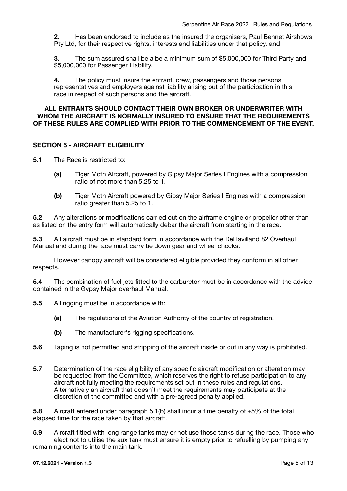**2.** Has been endorsed to include as the insured the organisers, Paul Bennet Airshows Pty Ltd, for their respective rights, interests and liabilities under that policy, and

**3.** The sum assured shall be a be a minimum sum of \$5,000,000 for Third Party and \$5,000,000 for Passenger Liability.

**4.** The policy must insure the entrant, crew, passengers and those persons representatives and employers against liability arising out of the participation in this race in respect of such persons and the aircraft.

#### **ALL ENTRANTS SHOULD CONTACT THEIR OWN BROKER OR UNDERWRITER WITH WHOM THE AIRCRAFT IS NORMALLY INSURED TO ENSURE THAT THE REQUIREMENTS OF THESE RULES ARE COMPLIED WITH PRIOR TO THE COMMENCEMENT OF THE EVENT.**

# **SECTION 5 - AIRCRAFT ELIGIBILITY**

**5.1** The Race is restricted to:

- **(a)** Tiger Moth Aircraft, powered by Gipsy Major Series I Engines with a compression ratio of not more than 5.25 to 1.
- **(b)** Tiger Moth Aircraft powered by Gipsy Major Series I Engines with a compression ratio greater than 5.25 to 1.

**5.2** Any alterations or modifications carried out on the airframe engine or propeller other than as listed on the entry form will automatically debar the aircraft from starting in the race.

**5.3** All aircraft must be in standard form in accordance with the DeHavilland 82 Overhaul Manual and during the race must carry tie down gear and wheel chocks.

However canopy aircraft will be considered eligible provided they conform in all other respects.

**5.4** The combination of fuel jets fitted to the carburetor must be in accordance with the advice contained in the Gypsy Major overhaul Manual.

- **5.5** All rigging must be in accordance with:
	- **(a)** The regulations of the Aviation Authority of the country of registration.
	- **(b)** The manufacturer's rigging specifications.
- **5.6** Taping is not permitted and stripping of the aircraft inside or out in any way is prohibited.
- **5.7** Determination of the race eligibility of any specific aircraft modification or alteration may be requested from the Committee, which reserves the right to refuse participation to any aircraft not fully meeting the requirements set out in these rules and regulations. Alternatively an aircraft that doesn't meet the requirements may participate at the discretion of the committee and with a pre-agreed penalty applied.

**5.8** Aircraft entered under paragraph 5.1(b) shall incur a time penalty of +5% of the total elapsed time for the race taken by that aircraft.

**5.9** Aircraft fitted with long range tanks may or not use those tanks during the race. Those who elect not to utilise the aux tank must ensure it is empty prior to refuelling by pumping any remaining contents into the main tank.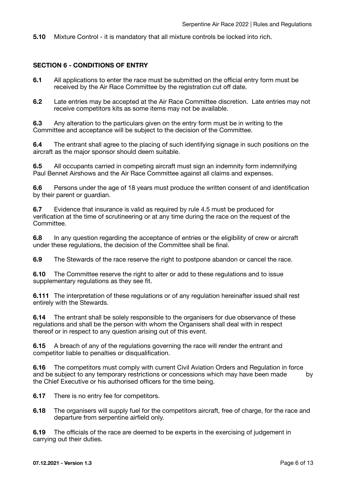**5.10** Mixture Control - it is mandatory that all mixture controls be locked into rich.

#### **SECTION 6 - CONDITIONS OF ENTRY**

- **6.1** All applications to enter the race must be submitted on the official entry form must be received by the Air Race Committee by the registration cut off date.
- **6.2** Late entries may be accepted at the Air Race Committee discretion. Late entries may not receive competitors kits as some items may not be available.

**6.3** Any alteration to the particulars given on the entry form must be in writing to the Committee and acceptance will be subject to the decision of the Committee.

**6.4** The entrant shall agree to the placing of such identifying signage in such positions on the aircraft as the major sponsor should deem suitable.

**6.5** All occupants carried in competing aircraft must sign an indemnity form indemnifying Paul Bennet Airshows and the Air Race Committee against all claims and expenses.

**6.6** Persons under the age of 18 years must produce the written consent of and identification by their parent or guardian.

**6.7** Evidence that insurance is valid as required by rule 4.5 must be produced for verification at the time of scrutineering or at any time during the race on the request of the Committee.

**6.8** In any question regarding the acceptance of entries or the eligibility of crew or aircraft under these regulations, the decision of the Committee shall be final.

**6.9** The Stewards of the race reserve the right to postpone abandon or cancel the race.

**6.10** The Committee reserve the right to alter or add to these regulations and to issue supplementary regulations as they see fit.

**6.111** The interpretation of these regulations or of any regulation hereinafter issued shall rest entirely with the Stewards.

**6.14** The entrant shall be solely responsible to the organisers for due observance of these regulations and shall be the person with whom the Organisers shall deal with in respect thereof or in respect to any question arising out of this event.

**6.15** A breach of any of the regulations governing the race will render the entrant and competitor liable to penalties or disqualification.

**6.16** The competitors must comply with current Civil Aviation Orders and Regulation in force and be subject to any temporary restrictions or concessions which may have been made by the Chief Executive or his authorised officers for the time being.

**6.17** There is no entry fee for competitors.

**6.18** The organisers will supply fuel for the competitors aircraft, free of charge, for the race and departure from serpentine airfield only.

**6.19** The officials of the race are deemed to be experts in the exercising of judgement in carrying out their duties.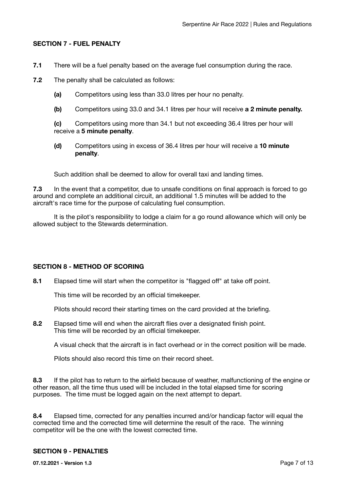# **SECTION 7 - FUEL PENALTY**

- **7.1** There will be a fuel penalty based on the average fuel consumption during the race.
- **7.2** The penalty shall be calculated as follows:
	- **(a)** Competitors using less than 33.0 litres per hour no penalty.
	- **(b)** Competitors using 33.0 and 34.1 litres per hour will receive **a 2 minute penalty.**

**(c)** Competitors using more than 34.1 but not exceeding 36.4 litres per hour will receive a **5 minute penalty**.

**(d)** Competitors using in excess of 36.4 litres per hour will receive a **10 minute penalty**.

Such addition shall be deemed to allow for overall taxi and landing times.

**7.3** In the event that a competitor, due to unsafe conditions on final approach is forced to go around and complete an additional circuit, an additional 1.5 minutes will be added to the aircraft's race time for the purpose of calculating fuel consumption.

It is the pilot's responsibility to lodge a claim for a go round allowance which will only be allowed subject to the Stewards determination.

# **SECTION 8 - METHOD OF SCORING**

**8.1** Elapsed time will start when the competitor is "flagged off" at take off point.

This time will be recorded by an official timekeeper.

Pilots should record their starting times on the card provided at the briefing.

**8.2** Elapsed time will end when the aircraft flies over a designated finish point. This time will be recorded by an official timekeeper.

A visual check that the aircraft is in fact overhead or in the correct position will be made.

Pilots should also record this time on their record sheet.

**8.3** If the pilot has to return to the airfield because of weather, malfunctioning of the engine or other reason, all the time thus used will be included in the total elapsed time for scoring purposes. The time must be logged again on the next attempt to depart.

**8.4** Elapsed time, corrected for any penalties incurred and/or handicap factor will equal the corrected time and the corrected time will determine the result of the race. The winning competitor will be the one with the lowest corrected time.

# **SECTION 9 - PENALTIES**

**07.12.2021 - Version 1.3** Page 7 of 13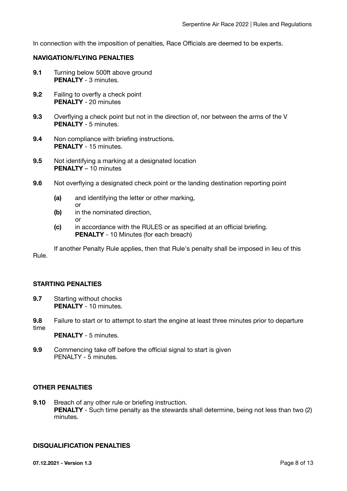In connection with the imposition of penalties, Race Officials are deemed to be experts.

# **NAVIGATION/FLYING PENALTIES**

- **9.1** Turning below 500ft above ground **PENALTY** - 3 minutes.
- **9.2** Failing to overfly a check point **PENALTY** - 20 minutes
- **9.3** Overflying a check point but not in the direction of, nor between the arms of the V **PENALTY** - 5 minutes.
- **9.4** Non compliance with briefing instructions. **PENALTY** - 15 minutes.
- **9.5** Not identifying a marking at a designated location **PENALTY** – 10 minutes
- **9.6** Not overflying a designated check point or the landing destination reporting point
	- **(a)** and identifying the letter or other marking,
- **or** *or* 
	- **(b)** in the nominated direction, or
	- **(c)** in accordance with the RULES or as specified at an official briefing. **PENALTY** - 10 Minutes (for each breach)

If another Penalty Rule applies, then that Rule's penalty shall be imposed in lieu of this Rule.

# **STARTING PENALTIES**

- **9.7** Starting without chocks **PENALTY** - 10 minutes.
- **9.8** Failure to start or to attempt to start the engine at least three minutes prior to departure time
	- **PENALTY** 5 minutes.
- **9.9** Commencing take off before the official signal to start is given PENALTY - 5 minutes.

# **OTHER PENALTIES**

**9.10** Breach of any other rule or briefing instruction. **PENALTY** - Such time penalty as the stewards shall determine, being not less than two (2) minutes.

#### **DISQUALIFICATION PENALTIES**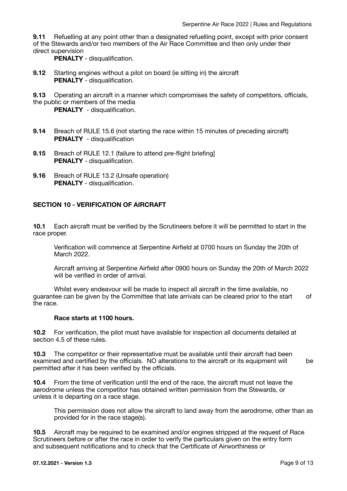**9.11** Refuelling at any point other than a designated refuelling point, except with prior consent of the Stewards and/or two members of the Air Race Committee and then only under their direct supervision

**PENALTY** - disqualification.

- **9.12** Starting engines without a pilot on board (ie sitting in) the aircraft **PENALTY** - disqualification.
- **9.13** Operating an aircraft in a manner which compromises the safety of competitors, officials, the public or members of the media

**PENALTY** - disqualification.

- **9.14** Breach of RULE 15.6 (not starting the race within 15 minutes of preceding aircraft) **PENALTY** - disqualification
- **9.15** Breach of RULE 12.1 (failure to attend pre-flight briefing] **PENALTY** - disqualification.
- **9.16** Breach of RULE 13.2 (Unsafe operation) **PENALTY** - disqualification.

# **SECTION 10 - VERIFICATION OF AIRCRAFT**

**10.1** Each aircraft must be verified by the Scrutineers before it will be permitted to start in the race proper.

Verification will commence at Serpentine Airfield at 0700 hours on Sunday the 20th of March 2022.

Aircraft arriving at Serpentine Airfield after 0900 hours on Sunday the 20th of March 2022 will be verified in order of arrival.

Whilst every endeavour will be made to inspect all aircraft in the time available, no guarantee can be given by the Committee that late arrivals can be cleared prior to the start of the race.

#### **Race starts at 1100 hours.**

**10.2** For verification, the pilot must have available for inspection all documents detailed at section 4.5 of these rules.

**10.3** The competitor or their representative must be available until their aircraft had been examined and certified by the officials. NO alterations to the aircraft or its equipment will be permitted after it has been verified by the officials.

**10.4** From the time of verification until the end of the race, the aircraft must not leave the aerodrome unless the competitor has obtained written permission from the Stewards, or unless it is departing on a race stage.

This permission does not allow the aircraft to land away from the aerodrome, other than as provided for in the race stage(s).

**10.5** Aircraft may be required to be examined and/or engines stripped at the request of Race Scrutineers before or after the race in order to verify the particulars given on the entry form and subsequent notifications and to check that the Certificate of Airworthiness or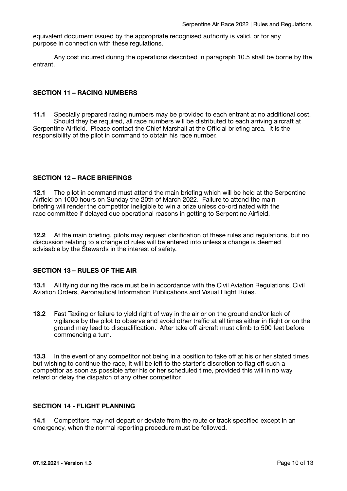equivalent document issued by the appropriate recognised authority is valid, or for any purpose in connection with these regulations.

Any cost incurred during the operations described in paragraph 10.5 shall be borne by the entrant.

# **SECTION 11 – RACING NUMBERS**

**11.1** Specially prepared racing numbers may be provided to each entrant at no additional cost. Should they be required, all race numbers will be distributed to each arriving aircraft at Serpentine Airfield. Please contact the Chief Marshall at the Official briefing area. It is the responsibility of the pilot in command to obtain his race number.

# **SECTION 12 – RACE BRIEFINGS**

**12.1** The pilot in command must attend the main briefing which will be held at the Serpentine Airfield on 1000 hours on Sunday the 20th of March 2022. Failure to attend the main briefing will render the competitor ineligible to win a prize unless co-ordinated with the race committee if delayed due operational reasons in getting to Serpentine Airfield.

**12.2** At the main briefing, pilots may request clarification of these rules and regulations, but no discussion relating to a change of rules will be entered into unless a change is deemed advisable by the Stewards in the interest of safety.

#### **SECTION 13 – RULES OF THE AIR**

**13.1** All flying during the race must be in accordance with the Civil Aviation Regulations, Civil Aviation Orders, Aeronautical Information Publications and Visual Flight Rules.

**13.2** Fast Taxiing or failure to yield right of way in the air or on the ground and/or lack of vigilance by the pilot to observe and avoid other traffic at all times either in flight or on the ground may lead to disqualification. After take off aircraft must climb to 500 feet before commencing a turn.

**13.3** In the event of any competitor not being in a position to take off at his or her stated times but wishing to continue the race, it will be left to the starter's discretion to flag off such a competitor as soon as possible after his or her scheduled time, provided this will in no way retard or delay the dispatch of any other competitor.

#### **SECTION 14 - FLIGHT PLANNING**

**14.1** Competitors may not depart or deviate from the route or track specified except in an emergency, when the normal reporting procedure must be followed.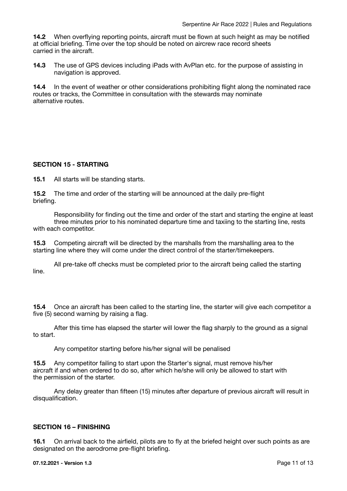**14.2** When overflying reporting points, aircraft must be flown at such height as may be notified at official briefing. Time over the top should be noted on aircrew race record sheets carried in the aircraft.

**14.3** The use of GPS devices including iPads with AvPlan etc. for the purpose of assisting in navigation is approved.

**14.4** In the event of weather or other considerations prohibiting flight along the nominated race routes or tracks, the Committee in consultation with the stewards may nominate alternative routes.

# **SECTION 15 - STARTING**

**15.1** All starts will be standing starts.

**15.2** The time and order of the starting will be announced at the daily pre-flight briefing.

Responsibility for finding out the time and order of the start and starting the engine at least three minutes prior to his nominated departure time and taxiing to the starting line, rests with each competitor.

**15.3** Competing aircraft will be directed by the marshalls from the marshalling area to the starting line where they will come under the direct control of the starter/timekeepers.

All pre-take off checks must be completed prior to the aircraft being called the starting line.

**15.4** Once an aircraft has been called to the starting line, the starter will give each competitor a five (5) second warning by raising a flag.

After this time has elapsed the starter will lower the flag sharply to the ground as a signal to start.

Any competitor starting before his/her signal will be penalised

**15.5** Any competitor failing to start upon the Starter's signal, must remove his/her aircraft if and when ordered to do so, after which he/she will only be allowed to start with the permission of the starter.

Any delay greater than fifteen (15) minutes after departure of previous aircraft will result in disqualification.

#### **SECTION 16 – FINISHING**

**16.1** On arrival back to the airfield, pilots are to fly at the briefed height over such points as are designated on the aerodrome pre-flight briefing.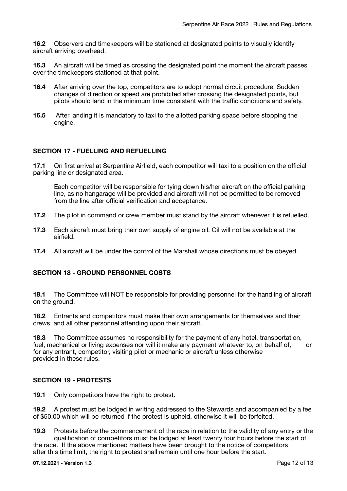**16.2** Observers and timekeepers will be stationed at designated points to visually identify aircraft arriving overhead.

**16.3** An aircraft will be timed as crossing the designated point the moment the aircraft passes over the timekeepers stationed at that point.

- **16.4** After arriving over the top, competitors are to adopt normal circuit procedure. Sudden changes of direction or speed are prohibited after crossing the designated points, but pilots should land in the minimum time consistent with the traffic conditions and safety.
- **16.5** After landing it is mandatory to taxi to the allotted parking space before stopping the engine.

# **SECTION 17 - FUELLING AND REFUELLING**

**17.1** On first arrival at Serpentine Airfield, each competitor will taxi to a position on the official parking line or designated area.

Each competitor will be responsible for tying down his/her aircraft on the official parking line, as no hangarage will be provided and aircraft will not be permitted to be removed from the line after official verification and acceptance.

- **17.2** The pilot in command or crew member must stand by the aircraft whenever it is refuelled.
- **17.3** Each aircraft must bring their own supply of engine oil. Oil will not be available at the airfield.
- **17.4** All aircraft will be under the control of the Marshall whose directions must be obeyed.

# **SECTION 18 - GROUND PERSONNEL COSTS**

**18.1** The Committee will NOT be responsible for providing personnel for the handling of aircraft on the ground.

**18.2** Entrants and competitors must make their own arrangements for themselves and their crews, and all other personnel attending upon their aircraft.

**18.3** The Committee assumes no responsibility for the payment of any hotel, transportation, fuel, mechanical or living expenses nor will it make any payment whatever to, on behalf of, or for any entrant, competitor, visiting pilot or mechanic or aircraft unless otherwise provided in these rules.

# **SECTION 19 - PROTESTS**

**19.1** Only competitors have the right to protest.

**19.2** A protest must be lodged in writing addressed to the Stewards and accompanied by a fee of \$50.00 which will be returned if the protest is upheld, otherwise it will be forfeited.

**19.3** Protests before the commencement of the race in relation to the validity of any entry or the qualification of competitors must be lodged at least twenty four hours before the start of the race. If the above mentioned matters have been brought to the notice of competitors

after this time limit, the right to protest shall remain until one hour before the start.

#### **07.12.2021 - Version 1.3** Page 12 of 13